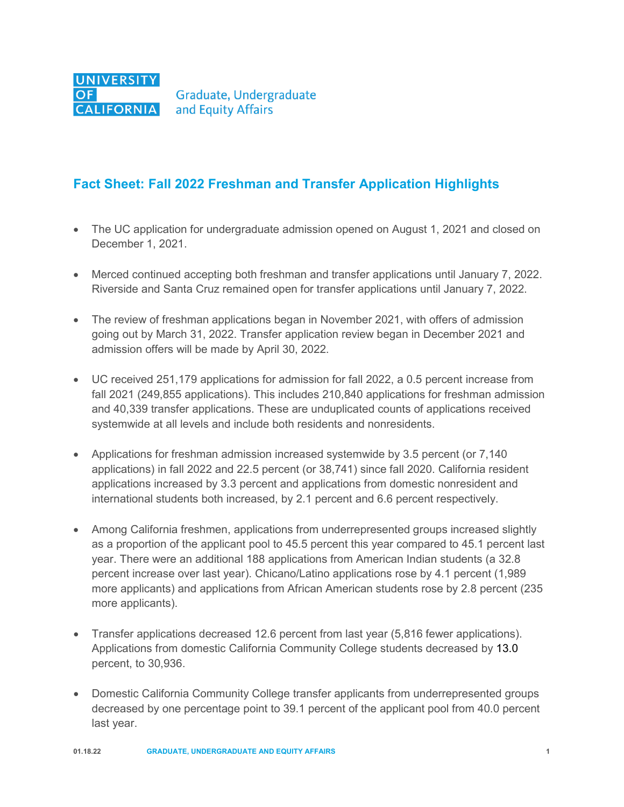

## **Fact Sheet: Fall 2022 Freshman and Transfer Application Highlights**

- The UC application for undergraduate admission opened on August 1, 2021 and closed on December 1, 2021.
- Merced continued accepting both freshman and transfer applications until January 7, 2022. Riverside and Santa Cruz remained open for transfer applications until January 7, 2022.
- The review of freshman applications began in November 2021, with offers of admission going out by March 31, 2022. Transfer application review began in December 2021 and admission offers will be made by April 30, 2022.
- UC received 251,179 applications for admission for fall 2022, a 0.5 percent increase from fall 2021 (249,855 applications). This includes 210,840 applications for freshman admission and 40,339 transfer applications. These are unduplicated counts of applications received systemwide at all levels and include both residents and nonresidents.
- Applications for freshman admission increased systemwide by 3.5 percent (or 7,140) applications) in fall 2022 and 22.5 percent (or 38,741) since fall 2020. California resident applications increased by 3.3 percent and applications from domestic nonresident and international students both increased, by 2.1 percent and 6.6 percent respectively.
- Among California freshmen, applications from underrepresented groups increased slightly as a proportion of the applicant pool to 45.5 percent this year compared to 45.1 percent last year. There were an additional 188 applications from American Indian students (a 32.8 percent increase over last year). Chicano/Latino applications rose by 4.1 percent (1,989 more applicants) and applications from African American students rose by 2.8 percent (235 more applicants).
- Transfer applications decreased 12.6 percent from last year (5,816 fewer applications). Applications from domestic California Community College students decreased by 13.0 percent, to 30,936.
- Domestic California Community College transfer applicants from underrepresented groups decreased by one percentage point to 39.1 percent of the applicant pool from 40.0 percent last year.